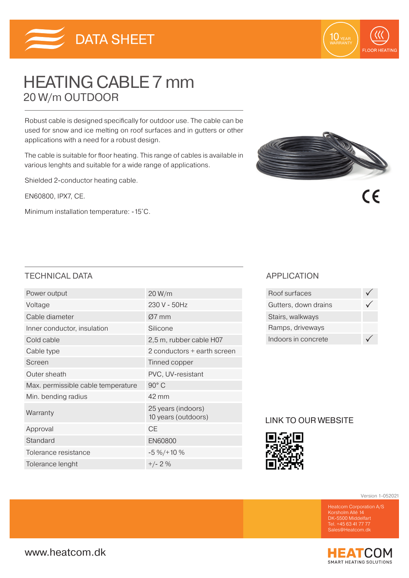

# HEATING CABLE 7 mm 20 W/m OUTDOOR

Robust cable is designed specifically for outdoor use. The cable can be used for snow and ice melting on roof surfaces and in gutters or other applications with a need for a robust design.

The cable is suitable for floor heating. This range of cables is available in various lenghts and suitable for a wide range of applications.

Shielded 2-conductor heating cable.

EN60800, IPX7, CE.

Minimum installation temperature: -15˚C.



10 YEAR

**FLOOR HEATING** 

 $\epsilon$ 

### TECHNICAL DATA APPLICATION

| Power output                       | 20 W/m                                    |  |  |
|------------------------------------|-------------------------------------------|--|--|
| Voltage                            | 230 V - 50Hz                              |  |  |
| Cable diameter                     | $Ø7$ mm                                   |  |  |
| Inner conductor, insulation        | Silicone                                  |  |  |
| Cold cable                         | 2,5 m, rubber cable H07                   |  |  |
| Cable type                         | 2 conductors + earth screen               |  |  |
| Screen                             | Tinned copper                             |  |  |
| Outer sheath                       | PVC, UV-resistant                         |  |  |
| Max. permissible cable temperature | $90^{\circ}$ C                            |  |  |
| Min. bending radius                | 42 mm                                     |  |  |
| Warranty                           | 25 years (indoors)<br>10 years (outdoors) |  |  |
| Approval                           | <b>CE</b>                                 |  |  |
| Standard                           | <b>EN60800</b>                            |  |  |
| Tolerance resistance               | $-5\% / + 10\%$                           |  |  |
| Tolerance lenght                   | $+/- 2%$                                  |  |  |

| Roof surfaces        |  |
|----------------------|--|
| Gutters, down drains |  |
| Stairs, walkways     |  |
| Ramps, driveways     |  |
| Indoors in concrete  |  |

## LINK TO OUR WEBSITE



Version 1-052021

DK-5500 Middelfart Tel. +45 63 41 77 77